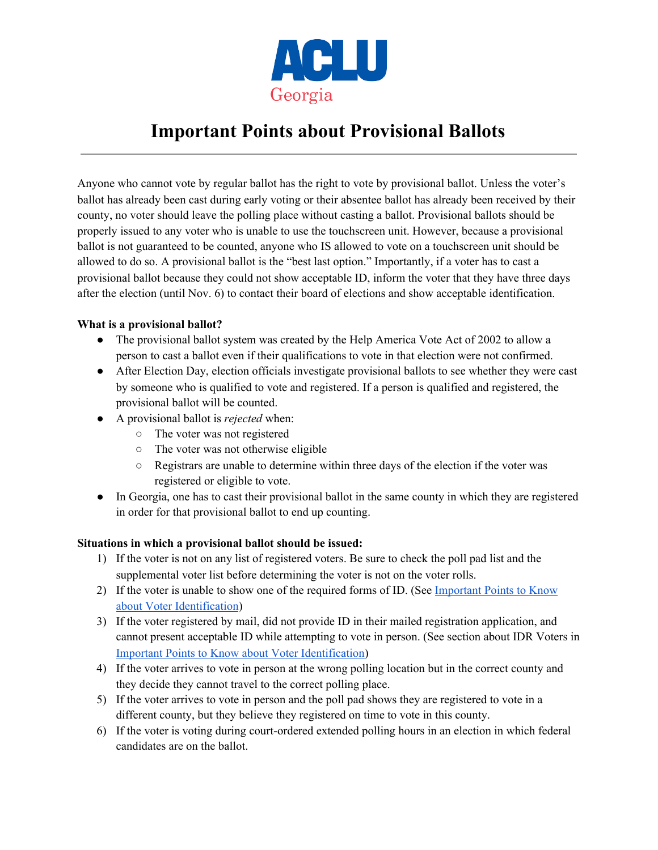

# **Important Points about Provisional Ballots**

Anyone who cannot vote by regular ballot has the right to vote by provisional ballot. Unless the voter's ballot has already been cast during early voting or their absentee ballot has already been received by their county, no voter should leave the polling place without casting a ballot. Provisional ballots should be properly issued to any voter who is unable to use the touchscreen unit. However, because a provisional ballot is not guaranteed to be counted, anyone who IS allowed to vote on a touchscreen unit should be allowed to do so. A provisional ballot is the "best last option." Importantly, if a voter has to cast a provisional ballot because they could not show acceptable ID, inform the voter that they have three days after the election (until Nov. 6) to contact their board of elections and show acceptable identification.

## **What is a provisional ballot?**

- The provisional ballot system was created by the Help America Vote Act of 2002 to allow a person to cast a ballot even if their qualifications to vote in that election were not confirmed.
- After Election Day, election officials investigate provisional ballots to see whether they were cast by someone who is qualified to vote and registered. If a person is qualified and registered, the provisional ballot will be counted.
- A provisional ballot is *rejected* when:
	- The voter was not registered
	- The voter was not otherwise eligible
	- Registrars are unable to determine within three days of the election if the voter was registered or eligible to vote.
- In Georgia, one has to cast their provisional ballot in the same county in which they are registered in order for that provisional ballot to end up counting.

## **Situations in which a provisional ballot should be issued:**

- 1) If the voter is not on any list of registered voters. Be sure to check the poll pad list and the supplemental voter list before determining the voter is not on the voter rolls.
- 2) If the voter is unable to show one of the required forms of ID. (See [Important](https://docs.google.com/document/d/1xgeqVtb4xVHFV49iExGiLeW6F7sP3EKXx6Kxo-6xDuk/edit) Points to Know about Voter [Identification](https://docs.google.com/document/d/1xgeqVtb4xVHFV49iExGiLeW6F7sP3EKXx6Kxo-6xDuk/edit))
- 3) If the voter registered by mail, did not provide ID in their mailed registration application, and cannot present acceptable ID while attempting to vote in person. (See section about IDR Voters in Important Points to Know about Voter [Identification\)](https://docs.google.com/document/d/1xgeqVtb4xVHFV49iExGiLeW6F7sP3EKXx6Kxo-6xDuk/edit)
- 4) If the voter arrives to vote in person at the wrong polling location but in the correct county and they decide they cannot travel to the correct polling place.
- 5) If the voter arrives to vote in person and the poll pad shows they are registered to vote in a different county, but they believe they registered on time to vote in this county.
- 6) If the voter is voting during court-ordered extended polling hours in an election in which federal candidates are on the ballot.